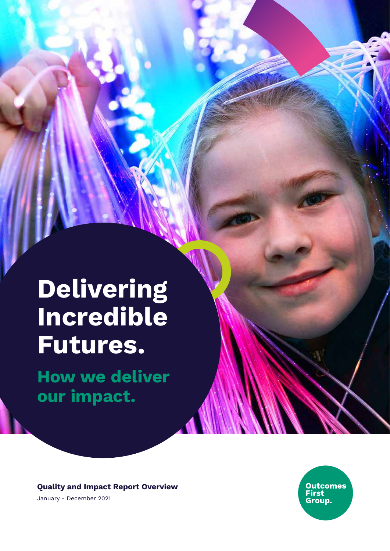# **Delivering Incredible Futures.**

**How we deliver our impact.**

**Quality and Impact Report Overview** January - December 2021

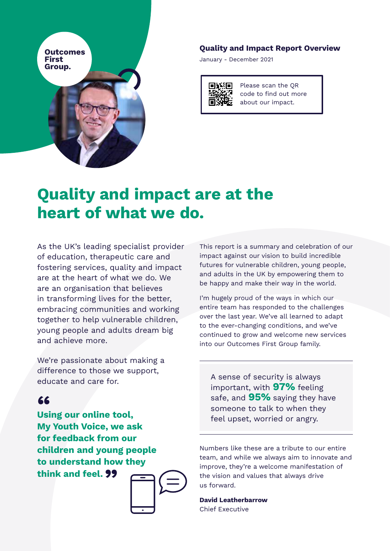

#### **Quality and Impact Report Overview**

January - December 2021

Please scan the QR code to find out more about our impact.

## **Quality and impact are at the heart of what we do.**

As the UK's leading specialist provider of education, therapeutic care and fostering services, quality and impact are at the heart of what we do. We are an organisation that believes in transforming lives for the better, embracing communities and working together to help vulnerable children, young people and adults dream big and achieve more.

We're passionate about making a difference to those we support, educate and care for.

**Using our online tool, " My Youth Voice, we ask for feedback from our children and young people to understand how they think and feel. "**



This report is a summary and celebration of our impact against our vision to build incredible futures for vulnerable children, young people, and adults in the UK by empowering them to be happy and make their way in the world.

I'm hugely proud of the ways in which our entire team has responded to the challenges over the last year. We've all learned to adapt to the ever-changing conditions, and we've continued to grow and welcome new services into our Outcomes First Group family.

A sense of security is always important, with **97%** feeling safe, and **95%** saying they have someone to talk to when they feel upset, worried or angry.

Numbers like these are a tribute to our entire team, and while we always aim to innovate and improve, they're a welcome manifestation of the vision and values that always drive us forward.

**David Leatherbarrow** Chief Executive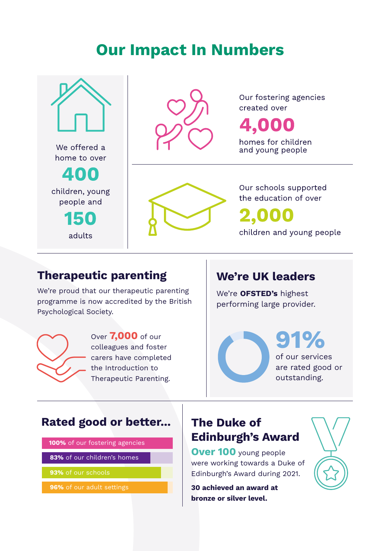## **Our Impact In Numbers**





Our fostering agencies created over

4,000

homes for children and young people



Our schools supported the education of over 2,000 children and young people

#### **Therapeutic parenting**

We're proud that our therapeutic parenting programme is now accredited by the British Psychological Society.



Over **7,000** of our colleagues and foster carers have completed the Introduction to Therapeutic Parenting.

#### **We're UK leaders**

We're **OFSTED's** highest performing large provider.

> **91%** of our services are rated good or outstanding.

#### **Rated good or better...**

**100%** of our fostering agencies

**83%** of our children's homes

**93%** of our schools

**96%** of our adult settings

#### **The Duke of Edinburgh's Award**

**Over 100** young people were working towards a Duke of Edinburgh's Award during 2021.

**30 achieved an award at bronze or silver level.**

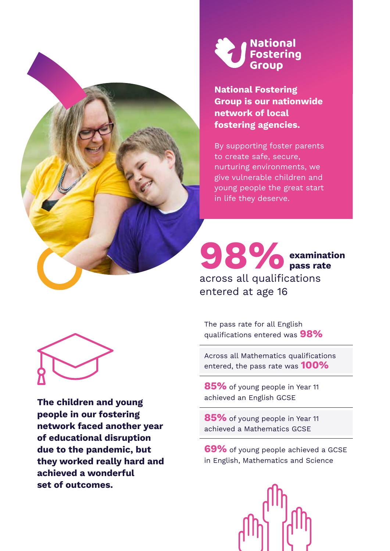



**National Fostering Group is our nationwide network of local fostering agencies.**

By supporting foster parents to create safe, secure, nurturing environments, we give vulnerable children and young people the great start in life they deserve.

#### **98%** across all qualifications entered at age 16 **examination pass rate**

The pass rate for all English qualifications entered was **98%**

Across all Mathematics qualifications entered, the pass rate was **100%**

**85%** of young people in Year 11 achieved an English GCSE

**85%** of young people in Year 11 achieved a Mathematics GCSE

**69%** of young people achieved a GCSE in English, Mathematics and Science





**The children and young people in our fostering network faced another year of educational disruption due to the pandemic, but they worked really hard and achieved a wonderful set of outcomes.**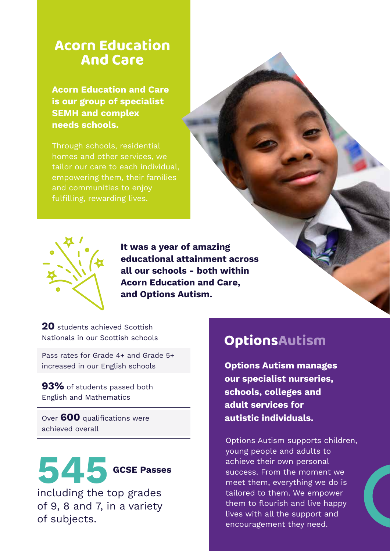#### **Acorn Education And Care**

**Acorn Education and Care is our group of specialist SEMH and complex needs schools.**

Through schools, residential homes and other services, we tailor our care to each individual, empowering them, their families and communities to enjoy fulfilling, rewarding lives.



**It was a year of amazing educational attainment across all our schools - both within Acorn Education and Care, and Options Autism.**

20 students achieved Scottish Nationals in our Scottish schools

Pass rates for Grade 4+ and Grade 5+ increased in our English schools

**93%** of students passed both English and Mathematics

Over **600** qualifications were achieved overall



of 9, 8 and 7, in a variety of subjects.

### OptionsAutism

**Options Autism manages our specialist nurseries, schools, colleges and adult services for autistic individuals.**

Options Autism supports children, young people and adults to achieve their own personal success. From the moment we meet them, everything we do is tailored to them. We empower them to flourish and live happy lives with all the support and encouragement they need.